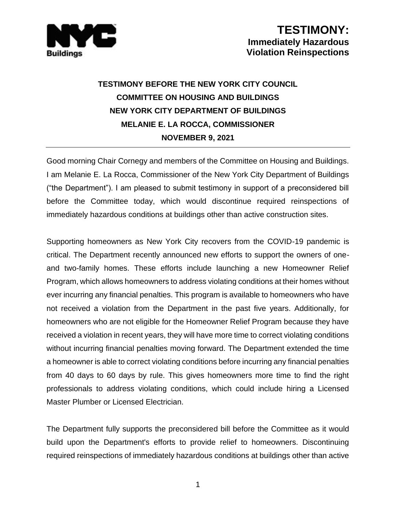

## **TESTIMONY BEFORE THE NEW YORK CITY COUNCIL COMMITTEE ON HOUSING AND BUILDINGS NEW YORK CITY DEPARTMENT OF BUILDINGS MELANIE E. LA ROCCA, COMMISSIONER NOVEMBER 9, 2021**

Good morning Chair Cornegy and members of the Committee on Housing and Buildings. I am Melanie E. La Rocca, Commissioner of the New York City Department of Buildings ("the Department"). I am pleased to submit testimony in support of a preconsidered bill before the Committee today, which would discontinue required reinspections of immediately hazardous conditions at buildings other than active construction sites.

Supporting homeowners as New York City recovers from the COVID-19 pandemic is critical. The Department recently announced new efforts to support the owners of oneand two-family homes. These efforts include launching a new Homeowner Relief Program, which allows homeowners to address violating conditions at their homes without ever incurring any financial penalties. This program is available to homeowners who have not received a violation from the Department in the past five years. Additionally, for homeowners who are not eligible for the Homeowner Relief Program because they have received a violation in recent years, they will have more time to correct violating conditions without incurring financial penalties moving forward. The Department extended the time a homeowner is able to correct violating conditions before incurring any financial penalties from 40 days to 60 days by rule. This gives homeowners more time to find the right professionals to address violating conditions, which could include hiring a Licensed Master Plumber or Licensed Electrician.

The Department fully supports the preconsidered bill before the Committee as it would build upon the Department's efforts to provide relief to homeowners. Discontinuing required reinspections of immediately hazardous conditions at buildings other than active